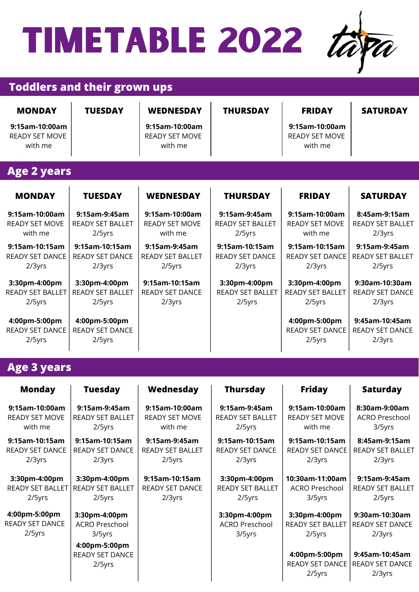

#### **Toddlers and their grown ups**

| <b>MONDAY</b><br>9:15am-10:00am<br><b>READY SET MOVE</b><br>with me | <b>TUESDAY</b>                                        | <b>WEDNESDAY</b><br>9:15am-10:00am<br><b>READY SET MOVE</b><br>with me | <b>THURSDAY</b>                                    | <b>FRIDAY</b><br>9:15am-10:00am<br><b>READY SET MOVE</b><br>with me | <b>SATURDAY</b>                                    |
|---------------------------------------------------------------------|-------------------------------------------------------|------------------------------------------------------------------------|----------------------------------------------------|---------------------------------------------------------------------|----------------------------------------------------|
| <b>Age 2 years</b>                                                  |                                                       |                                                                        |                                                    |                                                                     |                                                    |
| <b>MONDAY</b>                                                       | <b>TUESDAY</b>                                        | <b>WEDNESDAY</b>                                                       | <b>THURSDAY</b>                                    | <b>FRIDAY</b>                                                       | <b>SATURDAY</b>                                    |
| 9:15am-10:00am<br><b>READY SET MOVE</b><br>with me                  | 9:15am-9:45am<br><b>READY SET BALLET</b><br>2/5yrs    | 9:15am-10:00am<br><b>READY SET MOVE</b><br>with me                     | 9:15am-9:45am<br><b>READY SET BALLET</b><br>2/5yrs | 9:15am-10:00am<br><b>READY SET MOVE</b><br>with me                  | 8:45am-9:15am<br><b>READY SET BALLET</b><br>2/3yrs |
| 9:15am-10:15am<br><b>READY SET DANCE</b><br>2/3yrs                  | 9:15am-10:15am<br><b>READY SET DANCE</b><br>2/3yrs    | 9:15am-9:45am<br><b>READY SET BALLET</b><br>2/5yrs                     | 9:15am-10:15am<br><b>READY SET DANCE</b><br>2/3yrs | 9:15am-10:15am<br><b>READY SET DANCE</b><br>2/3yrs                  | 9:15am-9:45am<br><b>READY SET BALLET</b><br>2/5yrs |
| 3:30pm-4:00pm<br>READY SET BALLET<br>$2/5$ yrs                      | 3:30pm-4:00pm<br><b>READY SET BALLET</b><br>$2/5$ yrs | 9:15am-10:15am<br><b>READY SET DANCE</b><br>2/3yrs                     | 3:30pm-4:00pm<br><b>READY SET BALLET</b><br>2/5yrs | 3:30pm-4:00pm<br><b>READY SET BALLET</b><br>2/5yrs                  | 9:30am-10:30am<br><b>READY SET DANCE</b><br>2/3yrs |
| 4:00pm-5:00pm<br><b>READY SET DANCE</b><br>2/5yrs                   | 4:00pm-5:00pm<br><b>READY SET DANCE</b><br>2/5yrs     |                                                                        |                                                    | 4:00pm-5:00pm<br><b>READY SET DANCE</b><br>2/5yrs                   | 9:45am-10:45am<br><b>READY SET DANCE</b><br>2/3yrs |

#### **Age 3 years**

| <b>Monday</b>           | <b>Tuesday</b>                                    | Wednesday               | <b>Thursday</b>         | <b>Friday</b>                                        | <b>Saturday</b>                                    |
|-------------------------|---------------------------------------------------|-------------------------|-------------------------|------------------------------------------------------|----------------------------------------------------|
| 9:15am-10:00am          | 9:15am-9:45am                                     | 9:15am-10:00am          | 9:15am-9:45am           | 9:15am-10:00am                                       | 8:30am-9:00am                                      |
| <b>READY SET MOVE</b>   | <b>READY SET BALLET</b>                           | <b>READY SET MOVE</b>   | <b>READY SET BALLET</b> | <b>READY SET MOVE</b>                                | <b>ACRO Preschool</b>                              |
| with me                 | 2/5yrs                                            | with me                 | 2/5yrs                  | with me                                              | 3/5yrs                                             |
| 9:15am-10:15am          | 9:15am-10:15am                                    | 9:15am-9:45am           | 9:15am-10:15am          | 9:15am-10:15am                                       | 8:45am-9:15am                                      |
| <b>READY SET DANCE</b>  | <b>READY SET DANCE</b>                            | <b>READY SET BALLET</b> | <b>READY SET DANCE</b>  | <b>READY SET DANCE</b>                               | <b>READY SET BALLET</b>                            |
| 2/3yrs                  | 2/3yrs                                            | 2/5yrs                  | 2/3yrs                  | 2/3yrs                                               | 2/3yrs                                             |
| 3:30pm-4:00pm           | 3:30pm-4:00pm                                     | 9:15am-10:15am          | 3:30pm-4:00pm           | 10:30am-11:00am                                      | 9:15am-9:45am                                      |
| <b>READY SET BALLET</b> | <b>READY SET BALLET</b>                           | <b>READY SET DANCE</b>  | <b>READY SET BALLET</b> | <b>ACRO Preschool</b>                                | <b>READY SET BALLET</b>                            |
| 2/5yrs                  | 2/5yrs                                            | 2/3yrs                  | 2/5yrs                  | 3/5yrs                                               | 2/5yrs                                             |
| 4:00pm-5:00pm           | 3:30pm-4:00pm                                     |                         | 3:30pm-4:00pm           | 3:30pm-4:00pm                                        | 9:30am-10:30am                                     |
| READY SET DANCE         | <b>ACRO Preschool</b>                             |                         | <b>ACRO Preschool</b>   | <b>READY SET BALLET</b>                              | <b>READY SET DANCE</b>                             |
| 2/5yrs                  | 3/5yrs                                            |                         | 3/5yrs                  | 2/5yrs                                               | 2/3yrs                                             |
|                         | 4:00pm-5:00pm<br><b>READY SET DANCE</b><br>2/5yrs |                         |                         | 4:00pm-5:00pm<br><b>READY SET DANCE</b><br>$2/5$ yrs | 9:45am-10:45am<br><b>READY SET DANCE</b><br>2/3yrs |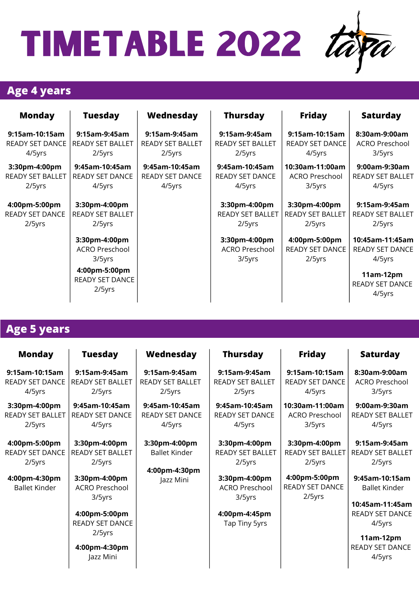

#### **Age 4 years**

| <b>Monday</b>           | <b>Tuesday</b>                                    | Wednesday               | <b>Thursday</b>                                  | <b>Friday</b>                              | <b>Saturday</b>                                     |
|-------------------------|---------------------------------------------------|-------------------------|--------------------------------------------------|--------------------------------------------|-----------------------------------------------------|
| 9:15am-10:15am          | 9:15am-9:45am                                     | 9:15am-9:45am           | 9:15am-9:45am                                    | 9:15am-10:15am                             | 8:30am-9:00am                                       |
| <b>READY SET DANCE</b>  | <b>READY SET BALLET</b>                           | <b>READY SET BALLET</b> | <b>READY SET BALLET</b>                          | <b>READY SET DANCE</b>                     | ACRO Preschool                                      |
| 4/5yrs                  | 2/5yrs                                            | 2/5yrs                  | 2/5yrs                                           | 4/5yrs                                     | 3/5yrs                                              |
| 3:30pm-4:00pm           | 9:45am-10:45am                                    | 9:45am-10:45am          | 9:45am-10:45am                                   | 10:30am-11:00am                            | 9:00am-9:30am                                       |
| <b>READY SET BALLET</b> | <b>READY SET DANCE</b>                            | <b>READY SET DANCE</b>  | <b>READY SET DANCE</b>                           | ACRO Preschool                             | <b>READY SET BALLET</b>                             |
| 2/5yrs                  | 4/5yrs                                            | 4/5yrs                  | 4/5yrs                                           | 3/5yrs                                     | 4/5yrs                                              |
| 4:00pm-5:00pm           | 3:30pm-4:00pm                                     |                         | 3:30pm-4:00pm                                    | 3:30pm-4:00pm                              | 9:15am-9:45am                                       |
| <b>READY SET DANCE</b>  | READY SET BALLET                                  |                         | READY SET BALLET                                 | READY SET BALLET                           | <b>READY SET BALLET</b>                             |
| 2/5yrs                  | $2/5$ yrs                                         |                         | 2/5yrs                                           | 2/5yrs                                     | 2/5yrs                                              |
|                         | 3:30pm-4:00pm<br><b>ACRO Preschool</b><br>3/5yrs  |                         | 3:30pm-4:00pm<br><b>ACRO Preschool</b><br>3/5yrs | 4:00pm-5:00pm<br>READY SET DANCE<br>2/5yrs | 10:45am-11:45am<br><b>READY SET DANCE</b><br>4/5yrs |
|                         | 4:00pm-5:00pm<br><b>READY SET DANCE</b><br>2/5yrs |                         |                                                  |                                            | $11am-12pm$<br><b>READY SET DANCE</b><br>4/5yrs     |

#### **Age 5 years**

| <b>Monday</b>                                                                              | <b>Tuesday</b>                                                                                                          | Wednesday                                                           | <b>Thursday</b>                                                                                                         | <b>Friday</b>                                                                                    | <b>Saturday</b>                                                                                                                           |
|--------------------------------------------------------------------------------------------|-------------------------------------------------------------------------------------------------------------------------|---------------------------------------------------------------------|-------------------------------------------------------------------------------------------------------------------------|--------------------------------------------------------------------------------------------------|-------------------------------------------------------------------------------------------------------------------------------------------|
| 9:15am-10:15am<br>READY SET DANCE<br>4/5yrs                                                | 9:15am-9:45am<br><b>READY SET BALLET</b><br>2/5yrs                                                                      | 9:15am-9:45am<br><b>READY SET BALLET</b><br>2/5yrs                  | 9:15am-9:45am<br>READY SET BALLET<br>2/5yrs                                                                             | 9:15am-10:15am<br><b>READY SET DANCE</b><br>4/5yrs                                               | 8:30am-9:00am<br><b>ACRO Preschool</b><br>3/5yrs                                                                                          |
| 3:30pm-4:00pm<br>READY SET BALLET<br>2/5yrs                                                | 9:45am-10:45am<br><b>READY SET DANCE</b><br>4/5yrs                                                                      | 9:45am-10:45am<br>READY SET DANCE<br>4/5yrs                         | 9:45am-10:45am<br><b>READY SET DANCE</b><br>4/5yrs                                                                      | 10:30am-11:00am<br><b>ACRO Preschool</b><br>3/5yrs                                               | 9:00am-9:30am<br>READY SET BALLET<br>4/5yrs                                                                                               |
| 4:00pm-5:00pm<br><b>READY SET DANCE</b><br>2/5yrs<br>4:00pm-4:30pm<br><b>Ballet Kinder</b> | 3:30pm-4:00pm<br><b>READY SET BALLET</b><br>2/5yrs<br>3:30pm-4:00pm<br><b>ACRO Preschool</b><br>3/5yrs<br>4:00pm-5:00pm | 3:30pm-4:00pm<br><b>Ballet Kinder</b><br>4:00pm-4:30pm<br>Jazz Mini | 3:30pm-4:00pm<br><b>READY SET BALLET</b><br>2/5yrs<br>3:30pm-4:00pm<br><b>ACRO Preschool</b><br>3/5yrs<br>4:00pm-4:45pm | 3:30pm-4:00pm<br><b>READY SET BALLET</b><br>2/5yrs<br>4:00pm-5:00pm<br>READY SET DANCE<br>2/5yrs | 9:15am-9:45am<br><b>READY SET BALLET</b><br>2/5yrs<br>9:45am-10:15am<br><b>Ballet Kinder</b><br>10:45am-11:45am<br><b>READY SET DANCE</b> |
|                                                                                            | <b>READY SET DANCE</b><br>2/5yrs<br>4:00pm-4:30pm<br>Jazz Mini                                                          |                                                                     | Tap Tiny 5yrs                                                                                                           |                                                                                                  | 4/5yrs<br>11am-12pm<br><b>READY SET DANCE</b><br>4/5yrs                                                                                   |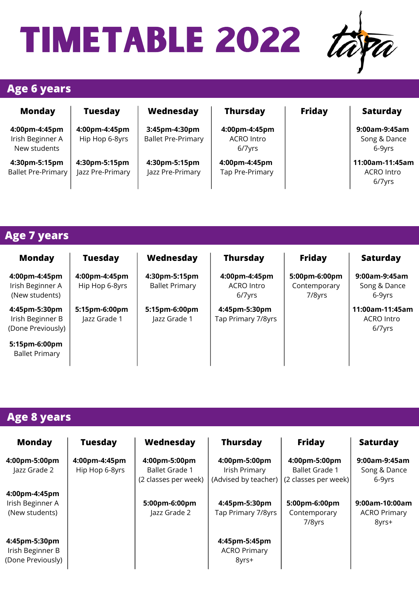

#### **Age 6 years**

| <b>Monday</b>                                     | <b>Tuesday</b>                    | Wednesday                                  | <b>Thursday</b>                              | <b>Friday</b> | <b>Saturday</b>                                |
|---------------------------------------------------|-----------------------------------|--------------------------------------------|----------------------------------------------|---------------|------------------------------------------------|
| 4:00pm-4:45pm<br>Irish Beginner A<br>New students | 4:00pm-4:45pm<br>Hip Hop 6-8yrs   | 3:45pm-4:30pm<br><b>Ballet Pre-Primary</b> | 4:00pm-4:45pm<br><b>ACRO Intro</b><br>6/7yrs |               | 9:00am-9:45am<br>Song & Dance<br>6-9yrs        |
| 4:30pm-5:15pm<br><b>Ballet Pre-Primary</b>        | 4:30pm-5:15pm<br>Jazz Pre-Primary | 4:30pm-5:15pm<br>Jazz Pre-Primary          | 4:00pm-4:45pm<br>Tap Pre-Primary             |               | 11:00am-11:45am<br><b>ACRO Intro</b><br>6/7yrs |

#### **Age 7 years**

| <b>Monday</b>                                          | <b>Tuesday</b>                  | Wednesday                              | <b>Thursday</b>                              | <b>Friday</b>                           | <b>Saturday</b>                         |
|--------------------------------------------------------|---------------------------------|----------------------------------------|----------------------------------------------|-----------------------------------------|-----------------------------------------|
| 4:00pm-4:45pm<br>Irish Beginner A<br>(New students)    | 4:00pm-4:45pm<br>Hip Hop 6-8yrs | 4:30pm-5:15pm<br><b>Ballet Primary</b> | 4:00pm-4:45pm<br><b>ACRO</b> Intro<br>6/7yrs | 5:00pm-6:00pm<br>Contemporary<br>7/8yrs | 9:00am-9:45am<br>Song & Dance<br>6-9yrs |
| 4:45pm-5:30pm<br>Irish Beginner B<br>(Done Previously) | 5:15pm-6:00pm<br>Jazz Grade 1   | 5:15pm-6:00pm<br>Jazz Grade 1          | 4:45pm-5:30pm<br>Tap Primary 7/8yrs          |                                         | 11:00am-11:45am<br>ACRO Intro<br>6/7yrs |
| 5:15pm-6:00pm<br><b>Ballet Primary</b>                 |                                 |                                        |                                              |                                         |                                         |

#### **Age 8 years**

| <b>Monday</b>                                          | <b>Tuesday</b>                  | Wednesday                                                      | <b>Thursday</b>                                        | <b>Friday</b>                                                  | <b>Saturday</b>                                |
|--------------------------------------------------------|---------------------------------|----------------------------------------------------------------|--------------------------------------------------------|----------------------------------------------------------------|------------------------------------------------|
| 4:00pm-5:00pm<br>Jazz Grade 2                          | 4:00pm-4:45pm<br>Hip Hop 6-8yrs | 4:00pm-5:00pm<br><b>Ballet Grade 1</b><br>(2 classes per week) | 4:00pm-5:00pm<br>Irish Primary<br>(Advised by teacher) | 4:00pm-5:00pm<br><b>Ballet Grade 1</b><br>(2 classes per week) | 9:00am-9:45am<br>Song & Dance<br>6-9yrs        |
| 4:00pm-4:45pm<br>Irish Beginner A<br>(New students)    |                                 | 5:00pm-6:00pm<br>Jazz Grade 2                                  | 4:45pm-5:30pm<br>Tap Primary 7/8yrs                    | 5:00pm-6:00pm<br>Contemporary<br>7/8yrs                        | 9:00am-10:00am<br><b>ACRO Primary</b><br>8yrs+ |
| 4:45pm-5:30pm<br>Irish Beginner B<br>(Done Previously) |                                 |                                                                | 4:45pm-5:45pm<br><b>ACRO Primary</b><br>8yrs+          |                                                                |                                                |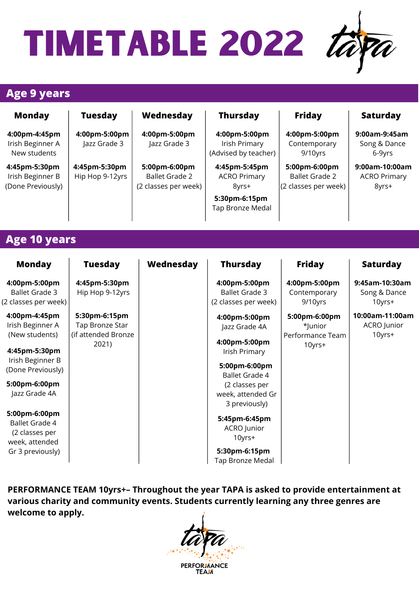

#### **Age 9 years**

| <b>Monday</b>                                                              | <b>Tuesday</b>                                          | Wednesday                                                      | <b>Thursday</b>                                                                    | <b>Friday</b>                                                  | <b>Saturday</b>                                 |
|----------------------------------------------------------------------------|---------------------------------------------------------|----------------------------------------------------------------|------------------------------------------------------------------------------------|----------------------------------------------------------------|-------------------------------------------------|
| 4:00pm-4:45pm<br>Irish Beginner A<br>New students                          | 4:00pm-5:00pm<br>Jazz Grade 3                           | 4:00pm-5:00pm<br>Jazz Grade 3                                  | 4:00pm-5:00pm<br>Irish Primary<br>(Advised by teacher)                             | 4:00pm-5:00pm<br>Contemporary<br>9/10yrs                       | 9:00am-9:45am<br>Song & Dance<br>6-9yrs         |
| 4:45pm-5:30pm<br>Irish Beginner B<br>(Done Previously)                     | 4:45pm-5:30pm<br>Hip Hop 9-12yrs                        | 5:00pm-6:00pm<br><b>Ballet Grade 2</b><br>(2 classes per week) | 4:45pm-5:45pm<br><b>ACRO Primary</b><br>8yrs+<br>5:30pm-6:15pm<br>Tap Bronze Medal | 5:00pm-6:00pm<br><b>Ballet Grade 2</b><br>(2 classes per week) | 9:00am-10:00am<br><b>ACRO Primary</b><br>8yrs+  |
| <b>Age 10 years</b>                                                        |                                                         |                                                                |                                                                                    |                                                                |                                                 |
| <b>Monday</b>                                                              | <b>Tuesday</b>                                          | Wednesday                                                      | <b>Thursday</b>                                                                    | <b>Friday</b>                                                  | <b>Saturday</b>                                 |
| 4:00pm-5:00pm<br><b>Ballet Grade 3</b><br>(2 classes per week)             | 4:45pm-5:30pm<br>Hip Hop 9-12yrs                        |                                                                | 4:00pm-5:00pm<br><b>Ballet Grade 3</b><br>(2 classes per week)                     | 4:00pm-5:00pm<br>Contemporary<br>9/10yrs                       | 9:45am-10:30am<br>Song & Dance<br>10yrs+        |
| 4:00pm-4:45pm<br>Irish Beginner A<br>(New students)                        | 5:30pm-6:15pm<br>Tap Bronze Star<br>(if attended Bronze |                                                                | 4:00pm-5:00pm<br>Jazz Grade 4A                                                     | 5:00pm-6:00pm<br>*Junior<br>Performance Team                   | 10:00am-11:00am<br><b>ACRO</b> Junior<br>10yrs+ |
| 4:45pm-5:30pm                                                              | 2021)                                                   |                                                                | 4:00pm-5:00pm<br>Irish Primary                                                     | 10yrs+                                                         |                                                 |
| Irish Beginner B<br>(Done Previously)                                      |                                                         |                                                                | 5:00pm-6:00pm<br><b>Ballet Grade 4</b>                                             |                                                                |                                                 |
| 5:00pm-6:00pm<br>Jazz Grade 4A                                             |                                                         |                                                                | (2 classes per<br>week, attended Gr<br>3 previously)                               |                                                                |                                                 |
| 5:00pm-6:00pm<br><b>Ballet Grade 4</b><br>(2 classes per<br>week, attended |                                                         |                                                                | 5:45pm-6:45pm<br><b>ACRO</b> Junior<br>10yrs+                                      |                                                                |                                                 |
| Gr 3 previously)                                                           |                                                         |                                                                | 5:30pm-6:15pm<br>Tap Bronze Medal                                                  |                                                                |                                                 |

**PERFORMANCE TEAM 10yrs+– Throughout the year TAPA is asked to provide entertainment at various charity and community events. Students currently learning any three genres are welcome to apply.**

**PERFORMANCE TEAM**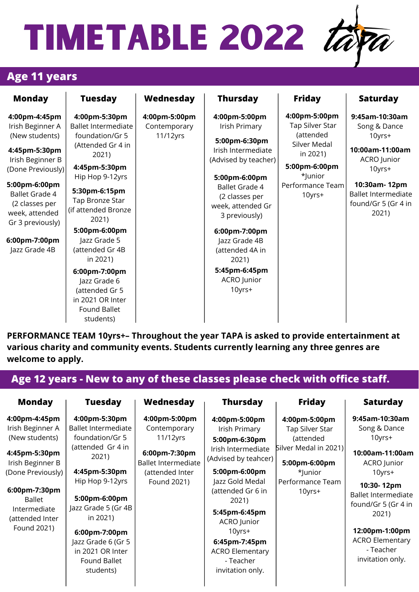#### **Age 11 years**

| <b>Monday</b>                                                                                                                                                                                                                                     | <b>Tuesday</b>                                                                                                                                                                                                                                                                                                                                                    | Wednesday                                 | <b>Thursday</b>                                                                                                                                                                                                                                                                                         | <b>Friday</b>                                                                                                                       | <b>Saturday</b>                                                                                                                                                    |
|---------------------------------------------------------------------------------------------------------------------------------------------------------------------------------------------------------------------------------------------------|-------------------------------------------------------------------------------------------------------------------------------------------------------------------------------------------------------------------------------------------------------------------------------------------------------------------------------------------------------------------|-------------------------------------------|---------------------------------------------------------------------------------------------------------------------------------------------------------------------------------------------------------------------------------------------------------------------------------------------------------|-------------------------------------------------------------------------------------------------------------------------------------|--------------------------------------------------------------------------------------------------------------------------------------------------------------------|
| 4:00pm-4:45pm<br>Irish Beginner A<br>(New students)<br>4:45pm-5:30pm<br>Irish Beginner B<br>(Done Previously)<br>5:00pm-6:00pm<br><b>Ballet Grade 4</b><br>(2 classes per<br>week, attended<br>Gr 3 previously)<br>6:00pm-7:00pm<br>Jazz Grade 4B | 4:00pm-5:30pm<br>Ballet Intermediate<br>foundation/Gr 5<br>(Attended Gr 4 in<br>2021)<br>4:45pm-5:30pm<br>Hip Hop 9-12yrs<br>5:30pm-6:15pm<br>Tap Bronze Star<br>(if attended Bronze<br>2021)<br>5:00pm-6:00pm<br>Jazz Grade 5<br>(attended Gr 4B<br>in 2021)<br>6:00pm-7:00pm<br>Jazz Grade 6<br>(attended Gr 5<br>in 2021 OR Inter<br>Found Ballet<br>students) | 4:00pm-5:00pm<br>Contemporary<br>11/12yrs | 4:00pm-5:00pm<br>Irish Primary<br>5:00pm-6:30pm<br>Irish Intermediate<br>(Advised by teacher)<br>5:00pm-6:00pm<br><b>Ballet Grade 4</b><br>(2 classes per<br>week, attended Gr<br>3 previously)<br>6:00pm-7:00pm<br>Jazz Grade 4B<br>(attended 4A in<br>2021)<br>5:45pm-6:45pm<br>ACRO Junior<br>10yrs+ | 4:00pm-5:00pm<br>Tap Silver Star<br>(attended<br>Silver Medal<br>in 2021)<br>5:00pm-6:00pm<br>*Junior<br>Performance Team<br>10yrs+ | 9:45am-10:30am<br>Song & Dance<br>10yrs+<br>10:00am-11:00am<br>ACRO Junior<br>10yrs+<br>10:30am-12pm<br><b>Ballet Intermediate</b><br>found/Gr 5 (Gr 4 in<br>2021) |

**PERFORMANCE TEAM 10yrs+– Throughout the year TAPA is asked to provide entertainment at various charity and community events. Students currently learning any three genres are welcome to apply.**

| <b>Monday</b>                     | <b>Tuesday</b>                                                      | Wednesday                                   | <b>Thursday</b>                                                          | <b>Friday</b>                          | <b>Saturday</b>                                         |
|-----------------------------------|---------------------------------------------------------------------|---------------------------------------------|--------------------------------------------------------------------------|----------------------------------------|---------------------------------------------------------|
| 4:00pm-4:45pm                     | 4:00pm-5:30pm                                                       | 4:00pm-5:00pm                               | 4:00pm-5:00pm                                                            | 4:00pm-5:00pm                          | 9:45am-10:30am                                          |
| Irish Beginner A                  | <b>Ballet Intermediate</b>                                          | Contemporary                                | Irish Primary                                                            | Tap Silver Star                        | Song & Dance                                            |
| (New students)                    | foundation/Gr 5                                                     | 11/12yrs                                    | 5:00pm-6:30pm                                                            | (attended                              | 10yrs+                                                  |
| 4:45pm-5:30pm<br>Irish Beginner B | (attended Gr 4 in<br>2021)                                          | 6:00pm-7:30pm<br><b>Ballet Intermediate</b> | Irish Intermediate<br>(Advised by teahcer)                               | Silver Medal in 2021)<br>5:00pm-6:00pm | 10:00am-11:00am<br>ACRO Junior                          |
| (Done Previously)                 | 4:45pm-5:30pm                                                       | (attended Inter                             | 5:00pm-6:00pm                                                            | *Junior                                | $10$ yrs $+$                                            |
| 6:00pm-7:30pm<br>Ballet           | Hip Hop 9-12yrs<br>5:00pm-6:00pm                                    | Found 2021)                                 | Jazz Gold Medal<br>(attended Gr 6 in<br>2021)                            | Performance Team<br>10yrs+             | 10:30-12pm<br><b>Ballet Intermediate</b>                |
| Intermediate<br>(attended Inter   | Jazz Grade 5 (Gr 4B<br>in 2021)                                     |                                             | 5:45pm-6:45pm<br>ACRO Junior                                             |                                        | found/Gr 5 (Gr 4 in<br>2021)                            |
| Found 2021)                       | 6:00pm-7:00pm                                                       |                                             | 10yrs+                                                                   |                                        | 12:00pm-1:00pm                                          |
|                                   | Jazz Grade 6 (Gr 5<br>in 2021 OR Inter<br>Found Ballet<br>students) |                                             | 6:45pm-7:45pm<br><b>ACRO Elementary</b><br>- Teacher<br>invitation only. |                                        | <b>ACRO Elementary</b><br>- Teacher<br>invitation only. |